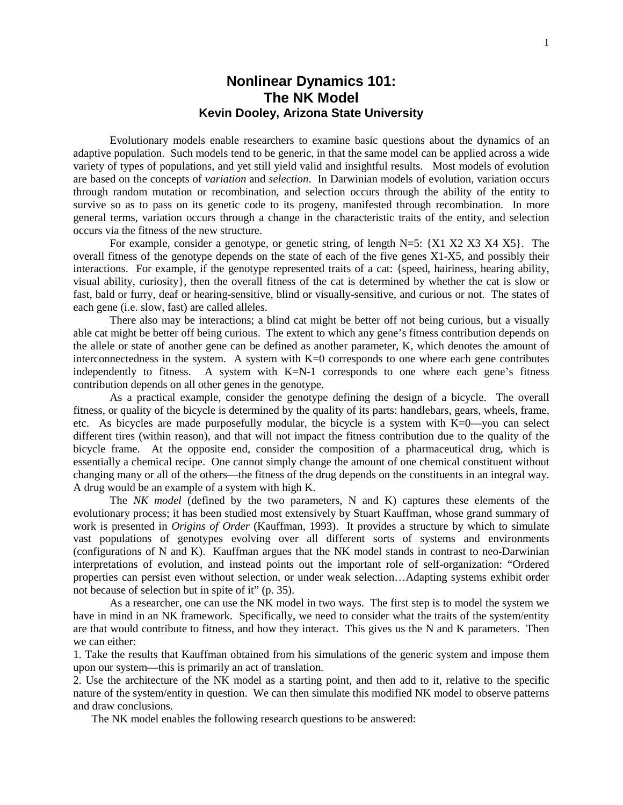## **Nonlinear Dynamics 101: The NK Model Kevin Dooley, Arizona State University**

Evolutionary models enable researchers to examine basic questions about the dynamics of an adaptive population. Such models tend to be generic, in that the same model can be applied across a wide variety of types of populations, and yet still yield valid and insightful results. Most models of evolution are based on the concepts of *variation* and *selection*. In Darwinian models of evolution, variation occurs through random mutation or recombination, and selection occurs through the ability of the entity to survive so as to pass on its genetic code to its progeny, manifested through recombination. In more general terms, variation occurs through a change in the characteristic traits of the entity, and selection occurs via the fitness of the new structure.

For example, consider a genotype, or genetic string, of length N=5: {X1 X2 X3 X4 X5}. The overall fitness of the genotype depends on the state of each of the five genes X1-X5, and possibly their interactions. For example, if the genotype represented traits of a cat: {speed, hairiness, hearing ability, visual ability, curiosity}, then the overall fitness of the cat is determined by whether the cat is slow or fast, bald or furry, deaf or hearing-sensitive, blind or visually-sensitive, and curious or not. The states of each gene (i.e. slow, fast) are called alleles.

There also may be interactions; a blind cat might be better off not being curious, but a visually able cat might be better off being curious. The extent to which any gene's fitness contribution depends on the allele or state of another gene can be defined as another parameter, K, which denotes the amount of interconnectedness in the system. A system with  $K=0$  corresponds to one where each gene contributes independently to fitness. A system with  $K=N-1$  corresponds to one where each gene's fitness contribution depends on all other genes in the genotype.

As a practical example, consider the genotype defining the design of a bicycle. The overall fitness, or quality of the bicycle is determined by the quality of its parts: handlebars, gears, wheels, frame, etc. As bicycles are made purposefully modular, the bicycle is a system with K=0—you can select different tires (within reason), and that will not impact the fitness contribution due to the quality of the bicycle frame. At the opposite end, consider the composition of a pharmaceutical drug, which is essentially a chemical recipe. One cannot simply change the amount of one chemical constituent without changing many or all of the others—the fitness of the drug depends on the constituents in an integral way. A drug would be an example of a system with high K.

The *NK model* (defined by the two parameters, N and K) captures these elements of the evolutionary process; it has been studied most extensively by Stuart Kauffman, whose grand summary of work is presented in *Origins of Order* (Kauffman, 1993). It provides a structure by which to simulate vast populations of genotypes evolving over all different sorts of systems and environments (configurations of N and K). Kauffman argues that the NK model stands in contrast to neo-Darwinian interpretations of evolution, and instead points out the important role of self-organization: "Ordered properties can persist even without selection, or under weak selection…Adapting systems exhibit order not because of selection but in spite of it" (p. 35).

As a researcher, one can use the NK model in two ways. The first step is to model the system we have in mind in an NK framework. Specifically, we need to consider what the traits of the system/entity are that would contribute to fitness, and how they interact. This gives us the N and K parameters. Then we can either:

1. Take the results that Kauffman obtained from his simulations of the generic system and impose them upon our system—this is primarily an act of translation.

2. Use the architecture of the NK model as a starting point, and then add to it, relative to the specific nature of the system/entity in question. We can then simulate this modified NK model to observe patterns and draw conclusions.

The NK model enables the following research questions to be answered: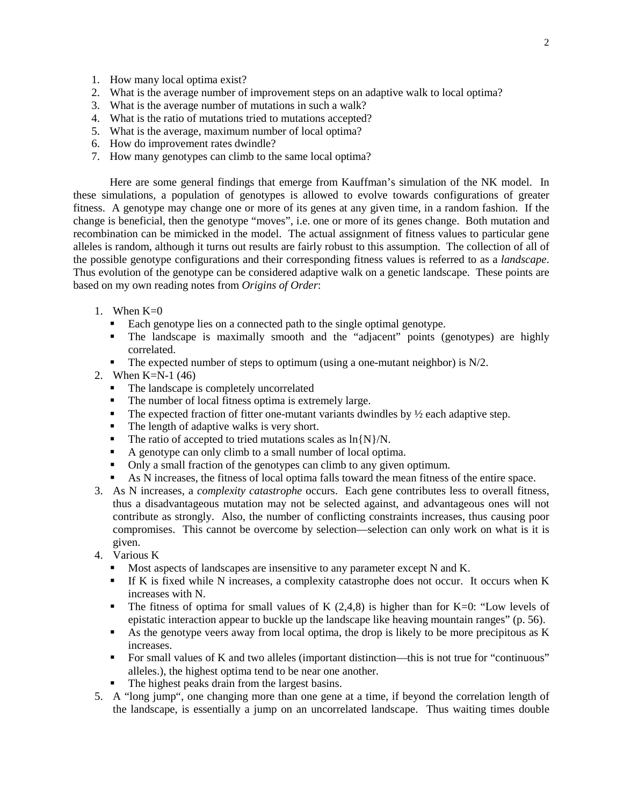- 1. How many local optima exist?
- 2. What is the average number of improvement steps on an adaptive walk to local optima?
- 3. What is the average number of mutations in such a walk?
- 4. What is the ratio of mutations tried to mutations accepted?
- 5. What is the average, maximum number of local optima?
- 6. How do improvement rates dwindle?
- 7. How many genotypes can climb to the same local optima?

Here are some general findings that emerge from Kauffman's simulation of the NK model. In these simulations, a population of genotypes is allowed to evolve towards configurations of greater fitness. A genotype may change one or more of its genes at any given time, in a random fashion. If the change is beneficial, then the genotype "moves", i.e. one or more of its genes change. Both mutation and recombination can be mimicked in the model. The actual assignment of fitness values to particular gene alleles is random, although it turns out results are fairly robust to this assumption. The collection of all of the possible genotype configurations and their corresponding fitness values is referred to as a *landscape*. Thus evolution of the genotype can be considered adaptive walk on a genetic landscape. These points are based on my own reading notes from *Origins of Order*:

- 1. When  $K=0$ 
	- Each genotype lies on a connected path to the single optimal genotype.
	- The landscape is maximally smooth and the "adjacent" points (genotypes) are highly correlated.
	- The expected number of steps to optimum (using a one-mutant neighbor) is  $N/2$ .
- 2. When K=N-1 (46)
	- The landscape is completely uncorrelated
	- The number of local fitness optima is extremely large.
	- The expected fraction of fitter one-mutant variants dwindles by  $\frac{1}{2}$  each adaptive step.
	- The length of adaptive walks is very short.
	- The ratio of accepted to tried mutations scales as  $\ln\{N\}/N$ .
	- A genotype can only climb to a small number of local optima.
	- Only a small fraction of the genotypes can climb to any given optimum.
	- As N increases, the fitness of local optima falls toward the mean fitness of the entire space.
- 3. As N increases, a *complexity catastrophe* occurs. Each gene contributes less to overall fitness, thus a disadvantageous mutation may not be selected against, and advantageous ones will not contribute as strongly. Also, the number of conflicting constraints increases, thus causing poor compromises. This cannot be overcome by selection—selection can only work on what is it is given.
- 4. Various K
	- **Most aspects of landscapes are insensitive to any parameter except N and K.**
	- If K is fixed while N increases, a complexity catastrophe does not occur. It occurs when K increases with N.
	- The fitness of optima for small values of K  $(2,4,8)$  is higher than for K=0: "Low levels of epistatic interaction appear to buckle up the landscape like heaving mountain ranges" (p. 56).
	- As the genotype veers away from local optima, the drop is likely to be more precipitous as  $K$ increases.
	- For small values of K and two alleles (important distinction—this is not true for "continuous" alleles.), the highest optima tend to be near one another.
	- The highest peaks drain from the largest basins.
- 5. A "long jump", one changing more than one gene at a time, if beyond the correlation length of the landscape, is essentially a jump on an uncorrelated landscape. Thus waiting times double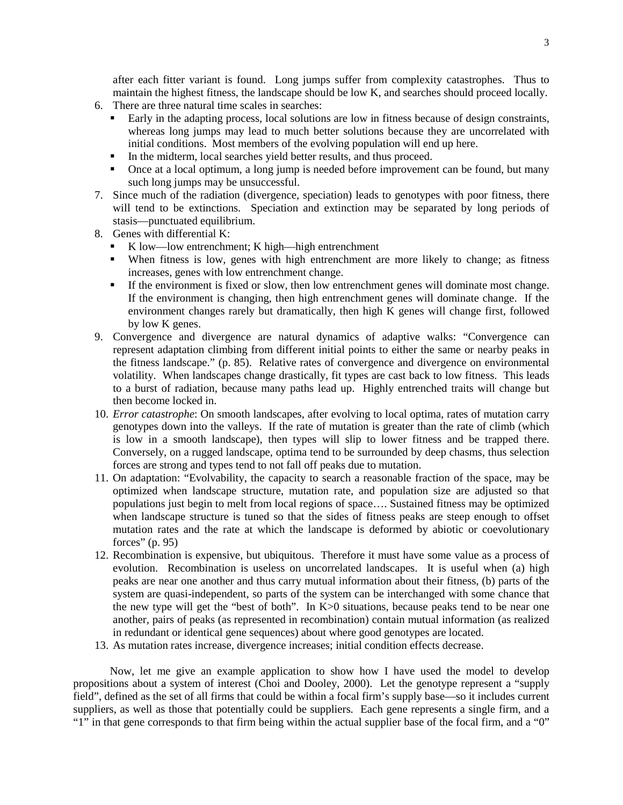after each fitter variant is found. Long jumps suffer from complexity catastrophes. Thus to maintain the highest fitness, the landscape should be low K, and searches should proceed locally.

- 6. There are three natural time scales in searches:
	- Early in the adapting process, local solutions are low in fitness because of design constraints, whereas long jumps may lead to much better solutions because they are uncorrelated with initial conditions. Most members of the evolving population will end up here.
	- In the midterm, local searches yield better results, and thus proceed.
	- Once at a local optimum, a long jump is needed before improvement can be found, but many such long jumps may be unsuccessful.
- 7. Since much of the radiation (divergence, speciation) leads to genotypes with poor fitness, there will tend to be extinctions. Speciation and extinction may be separated by long periods of stasis—punctuated equilibrium.
- 8. Genes with differential K:
	- K low—low entrenchment; K high—high entrenchment
	- When fitness is low, genes with high entrenchment are more likely to change; as fitness increases, genes with low entrenchment change.
	- If the environment is fixed or slow, then low entrenchment genes will dominate most change. If the environment is changing, then high entrenchment genes will dominate change. If the environment changes rarely but dramatically, then high K genes will change first, followed by low K genes.
- 9. Convergence and divergence are natural dynamics of adaptive walks: "Convergence can represent adaptation climbing from different initial points to either the same or nearby peaks in the fitness landscape." (p. 85). Relative rates of convergence and divergence on environmental volatility. When landscapes change drastically, fit types are cast back to low fitness. This leads to a burst of radiation, because many paths lead up. Highly entrenched traits will change but then become locked in.
- 10. *Error catastrophe*: On smooth landscapes, after evolving to local optima, rates of mutation carry genotypes down into the valleys. If the rate of mutation is greater than the rate of climb (which is low in a smooth landscape), then types will slip to lower fitness and be trapped there. Conversely, on a rugged landscape, optima tend to be surrounded by deep chasms, thus selection forces are strong and types tend to not fall off peaks due to mutation.
- 11. On adaptation: "Evolvability, the capacity to search a reasonable fraction of the space, may be optimized when landscape structure, mutation rate, and population size are adjusted so that populations just begin to melt from local regions of space…. Sustained fitness may be optimized when landscape structure is tuned so that the sides of fitness peaks are steep enough to offset mutation rates and the rate at which the landscape is deformed by abiotic or coevolutionary forces" (p. 95)
- 12. Recombination is expensive, but ubiquitous. Therefore it must have some value as a process of evolution. Recombination is useless on uncorrelated landscapes. It is useful when (a) high peaks are near one another and thus carry mutual information about their fitness, (b) parts of the system are quasi-independent, so parts of the system can be interchanged with some chance that the new type will get the "best of both". In K>0 situations, because peaks tend to be near one another, pairs of peaks (as represented in recombination) contain mutual information (as realized in redundant or identical gene sequences) about where good genotypes are located.
- 13. As mutation rates increase, divergence increases; initial condition effects decrease.

Now, let me give an example application to show how I have used the model to develop propositions about a system of interest (Choi and Dooley, 2000). Let the genotype represent a "supply field", defined as the set of all firms that could be within a focal firm's supply base—so it includes current suppliers, as well as those that potentially could be suppliers. Each gene represents a single firm, and a "1" in that gene corresponds to that firm being within the actual supplier base of the focal firm, and a "0"